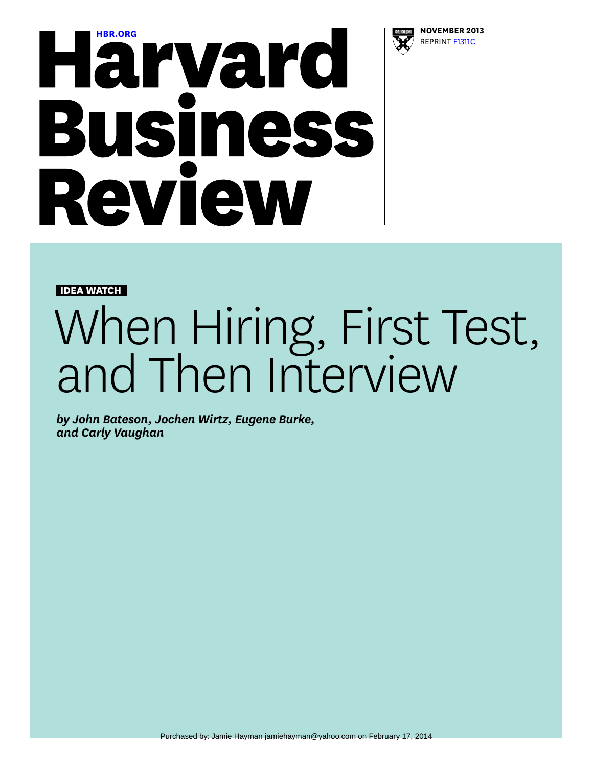

## **[HBR.ORG](http://hbr.org) NOVEMBER 2013**<br> **NOVEMBER 2013**<br> **NOVEMBER 2013 Business** Review

**IDEA WATCH**

## When Hiring, First Test, and Then Interview

*by John Bateson, Jochen Wirtz, Eugene Burke, and Carly Vaughan*